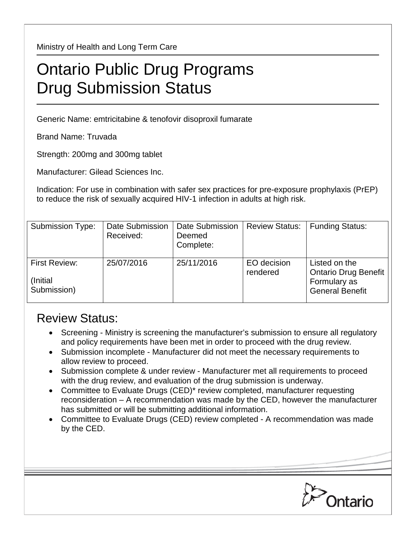Ministry of Health and Long Term Care

## Ontario Public Drug Programs Drug Submission Status

Generic Name: emtricitabine & tenofovir disoproxil fumarate

Brand Name: Truvada

Strength: 200mg and 300mg tablet

Manufacturer: Gilead Sciences Inc.

Indication: For use in combination with safer sex practices for pre-exposure prophylaxis (PrEP) to reduce the risk of sexually acquired HIV-1 infection in adults at high risk.

| <b>Submission Type:</b>                   | Date Submission<br>Received: | Date Submission<br>Deemed<br>Complete: | <b>Review Status:</b>   | <b>Funding Status:</b>                                                          |
|-------------------------------------------|------------------------------|----------------------------------------|-------------------------|---------------------------------------------------------------------------------|
| First Review:<br>(Initial)<br>Submission) | 25/07/2016                   | 25/11/2016                             | EO decision<br>rendered | Listed on the<br>Ontario Drug Benefit<br>Formulary as<br><b>General Benefit</b> |

## Review Status:

- Screening Ministry is screening the manufacturer's submission to ensure all regulatory and policy requirements have been met in order to proceed with the drug review.
- Submission incomplete Manufacturer did not meet the necessary requirements to allow review to proceed.
- Submission complete & under review Manufacturer met all requirements to proceed with the drug review, and evaluation of the drug submission is underway.
- Committee to Evaluate Drugs (CED)\* review completed, manufacturer requesting reconsideration – A recommendation was made by the CED, however the manufacturer has submitted or will be submitting additional information.
- Committee to Evaluate Drugs (CED) review completed A recommendation was made by the CED.